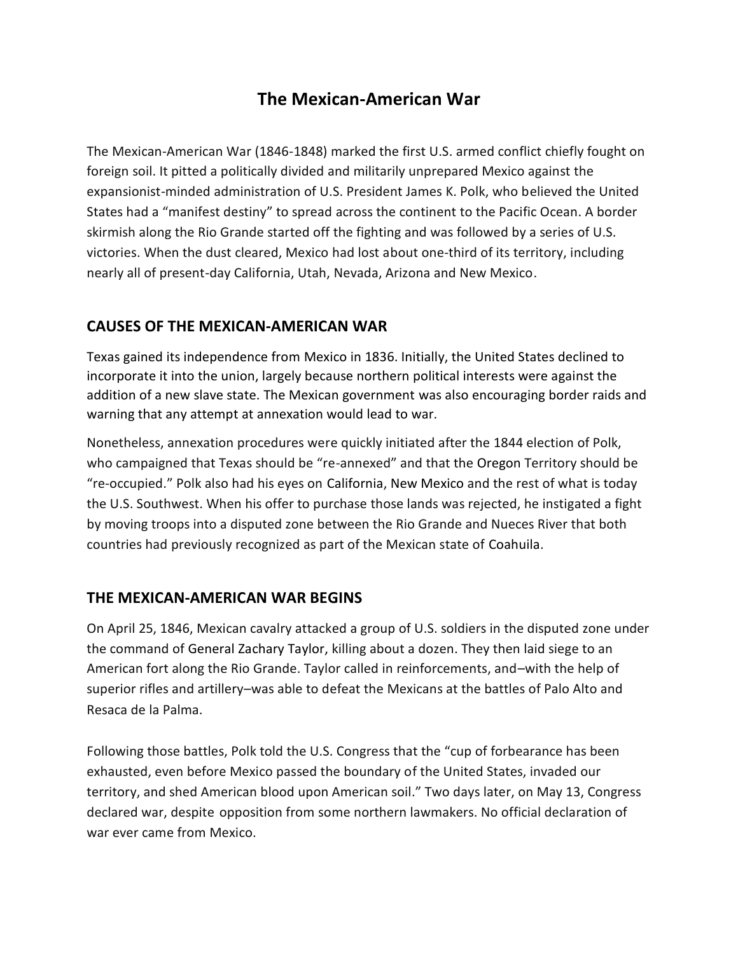# **The Mexican-American War**

The Mexican-American War (1846-1848) marked the first U.S. armed conflict chiefly fought on foreign soil. It pitted a politically divided and militarily unprepared Mexico against the expansionist-minded administration of U.S. President James K. Polk, who believed the United States had a "manifest destiny" to spread across the continent to the Pacific Ocean. A border skirmish along the Rio Grande started off the fighting and was followed by a series of U.S. victories. When the dust cleared, Mexico had lost about one-third of its territory, including nearly all of present-day California, Utah, Nevada, Arizona and New Mexico.

### **CAUSES OF THE MEXICAN-AMERICAN WAR**

Texas gained its independence from Mexico in 1836. Initially, the United States declined to incorporate it into the union, largely because northern political interests were against the addition of a new slave state. The Mexican government was also encouraging border raids and warning that any attempt at annexation would lead to war.

Nonetheless, annexation procedures were quickly initiated after the 1844 election of Polk, who campaigned that Texas should be "re-annexed" and that the Oregon Territory should be "re-occupied." Polk also had his eyes on California, New Mexico and the rest of what is today the U.S. Southwest. When his offer to purchase those lands was rejected, he instigated a fight by moving troops into a disputed zone between the Rio Grande and Nueces River that both countries had previously recognized as part of the Mexican state of Coahuila.

#### **THE MEXICAN-AMERICAN WAR BEGINS**

On April 25, 1846, Mexican cavalry attacked a group of U.S. soldiers in the disputed zone under the command of General Zachary Taylor, killing about a dozen. They then laid siege to an American fort along the Rio Grande. Taylor called in reinforcements, and–with the help of superior rifles and artillery–was able to defeat the Mexicans at the battles of Palo Alto and Resaca de la Palma.

Following those battles, Polk told the U.S. Congress that the "cup of forbearance has been exhausted, even before Mexico passed the boundary of the United States, invaded our territory, and shed American blood upon American soil." Two days later, on May 13, Congress declared war, despite opposition from some northern lawmakers. No official declaration of war ever came from Mexico.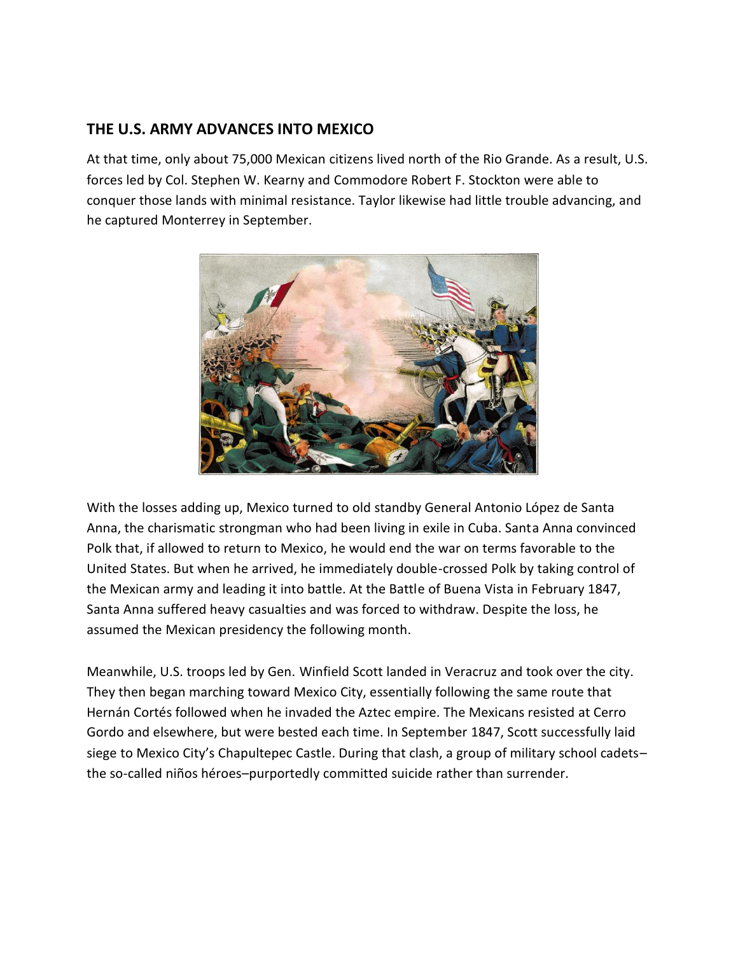## **THE U.S. ARMY ADVANCES INTO MEXICO**

At that time, only about 75,000 Mexican citizens lived north of the Rio Grande. As a result, U.S. forces led by Col. Stephen W. Kearny and Commodore Robert F. Stockton were able to conquer those lands with minimal resistance. Taylor likewise had little trouble advancing, and he captured Monterrey in September.



With the losses adding up, Mexico turned to old standby General Antonio López de Santa Anna, the charismatic strongman who had been living in exile in Cuba. Santa Anna convinced Polk that, if allowed to return to Mexico, he would end the war on terms favorable to the United States. But when he arrived, he immediately double-crossed Polk by taking control of the Mexican army and leading it into battle. At the Battle of Buena Vista in February 1847, Santa Anna suffered heavy casualties and was forced to withdraw. Despite the loss, he assumed the Mexican presidency the following month.

Meanwhile, U.S. troops led by Gen. Winfield Scott landed in Veracruz and took over the city. They then began marching toward Mexico City, essentially following the same route that Hernán Cortés followed when he invaded the Aztec empire. The Mexicans resisted at Cerro Gordo and elsewhere, but were bested each time. In September 1847, Scott successfully laid siege to Mexico City's Chapultepec Castle. During that clash, a group of military school cadets– the so-called niños héroes–purportedly committed suicide rather than surrender.